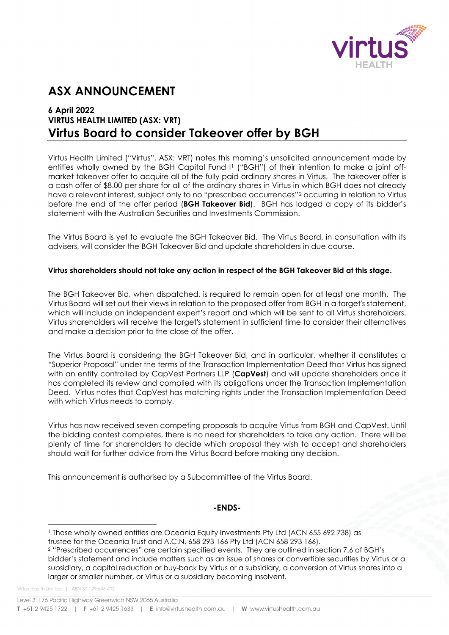

# **ASX ANNOUNCEMENT**

# **6 April 2022 VIRTUS HEALTH LIMITED (ASX: VRT) Virtus Board to consider Takeover offer by BGH**

Virtus Health Limited ("Virtus", ASX: VRT) notes this morning's unsolicited announcement made by entities wholly owned by the BGH Capital Fund I<sup>[1](#page-0-0)</sup> ("BGH") of their intention to make a joint offmarket takeover offer to acquire all of the fully paid ordinary shares in Virtus. The takeover offer is a cash offer of \$8.00 per share for all of the ordinary shares in Virtus in which BGH does not already have a relevant interest, subject only to no "prescribed occurrences"<sup>[2](#page-0-1)</sup> occurring in relation to Virtus before the end of the offer period (**BGH Takeover Bid**). BGH has lodged a copy of its bidder's statement with the Australian Securities and Investments Commission.

The Virtus Board is yet to evaluate the BGH Takeover Bid. The Virtus Board, in consultation with its advisers, will consider the BGH Takeover Bid and update shareholders in due course.

### **Virtus shareholders should not take any action in respect of the BGH Takeover Bid at this stage.**

The BGH Takeover Bid, when dispatched, is required to remain open for at least one month. The Virtus Board will set out their views in relation to the proposed offer from BGH in a target's statement, which will include an independent expert's report and which will be sent to all Virtus shareholders. Virtus shareholders will receive the target's statement in sufficient time to consider their alternatives and make a decision prior to the close of the offer.

The Virtus Board is considering the BGH Takeover Bid, and in particular, whether it constitutes a "Superior Proposal" under the terms of the Transaction Implementation Deed that Virtus has signed with an entity controlled by CapVest Partners LLP (**CapVest**) and will update shareholders once it has completed its review and complied with its obligations under the Transaction Implementation Deed. Virtus notes that CapVest has matching rights under the Transaction Implementation Deed with which Virtus needs to comply.

Virtus has now received seven competing proposals to acquire Virtus from BGH and CapVest. Until the bidding contest completes, there is no need for shareholders to take any action. There will be plenty of time for shareholders to decide which proposal they wish to accept and shareholders should wait for further advice from the Virtus Board before making any decision.

This announcement is authorised by a Subcommittee of the Virtus Board.

#### **-ENDS-**

- <span id="page-0-0"></span><sup>1</sup> Those wholly owned entities are Oceania Equity Investments Pty Ltd (ACN 655 692 738) as trustee for the Oceania Trust and A.C.N. 658 293 166 Pty Ltd (ACN 658 293 166).
- <sup>2</sup> "Prescribed occurrences" are certain specified events. They are outlined in section 7.6 of BGH's bidder's statement and include matters such as an issue of shares or convertible securities by Virtus or a subsidiary, a capital reduction or buy-back by Virtus or a subsidiary, a conversion of Virtus shares into a larger or smaller number, or Virtus or a subsidiary becoming insolvent.

<span id="page-0-1"></span>Virtus Health Limited | ABN 80 129 643 492